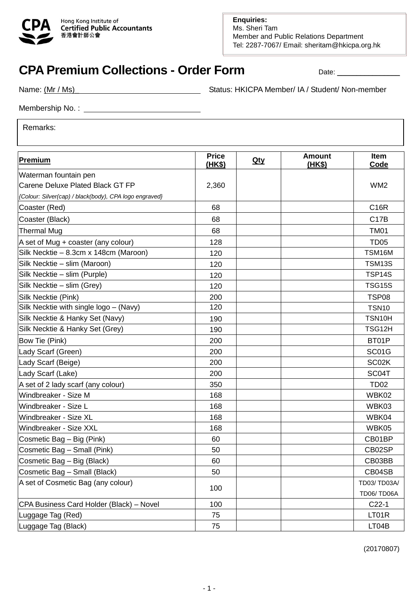

## **CPA Premium Collections - Order Form Date: Letter Collections - Order Form Date: Letter Date:**

Name: (Mr / Ms) Name: (Mr / Ms)

Membership No. :

Remarks:

| <b>Premium</b>                                         | <b>Price</b><br><u>(HK\$)</u> | <b>Qty</b> | <b>Amount</b><br>(HK\$) | <b>Item</b><br>Code |
|--------------------------------------------------------|-------------------------------|------------|-------------------------|---------------------|
| Waterman fountain pen                                  |                               |            |                         |                     |
| Carene Deluxe Plated Black GT FP                       | 2,360                         |            |                         | WM <sub>2</sub>     |
| {Colour: Silver(cap) / black(body), CPA logo engraved} |                               |            |                         |                     |
| Coaster (Red)                                          | 68                            |            |                         | <b>C16R</b>         |
| Coaster (Black)                                        | 68                            |            |                         | <b>C17B</b>         |
| <b>Thermal Mug</b>                                     | 68                            |            |                         | <b>TM01</b>         |
| A set of Mug + coaster (any colour)                    | 128                           |            |                         | <b>TD05</b>         |
| Silk Necktie - 8.3cm x 148cm (Maroon)                  | 120                           |            |                         | TSM16M              |
| Silk Necktie - slim (Maroon)                           | 120                           |            |                         | <b>TSM13S</b>       |
| Silk Necktie - slim (Purple)                           | 120                           |            |                         | TSP14S              |
| Silk Necktie - slim (Grey)                             | 120                           |            |                         | <b>TSG15S</b>       |
| Silk Necktie (Pink)                                    | 200                           |            |                         | <b>TSP08</b>        |
| Silk Necktie with single logo - (Navy)                 | 120                           |            |                         | <b>TSN10</b>        |
| Silk Necktie & Hanky Set (Navy)                        | 190                           |            |                         | TSN10H              |
| Silk Necktie & Hanky Set (Grey)                        | 190                           |            |                         | TSG12H              |
| Bow Tie (Pink)                                         | 200                           |            |                         | BT01P               |
| Lady Scarf (Green)                                     | 200                           |            |                         | SC01G               |
| Lady Scarf (Beige)                                     | 200                           |            |                         | SC02K               |
| Lady Scarf (Lake)                                      | 200                           |            |                         | SC04T               |
| A set of 2 lady scarf (any colour)                     | 350                           |            |                         | <b>TD02</b>         |
| Windbreaker - Size M                                   | 168                           |            |                         | WBK02               |
| Windbreaker - Size L                                   | 168                           |            |                         | WBK03               |
| Windbreaker - Size XL                                  | 168                           |            |                         | WBK04               |
| Windbreaker - Size XXL                                 | 168                           |            |                         | WBK05               |
| Cosmetic Bag - Big (Pink)                              | 60                            |            |                         | CB01BP              |
| Cosmetic Bag - Small (Pink)                            | 50                            |            |                         | CB02SP              |
| Cosmetic Bag - Big (Black)                             | 60                            |            |                         | CB03BB              |
| Cosmetic Bag - Small (Black)                           | 50                            |            |                         | CB04SB              |
| A set of Cosmetic Bag (any colour)                     | 100                           |            |                         | TD03/TD03A/         |
|                                                        |                               |            |                         | TD06/TD06A          |
| CPA Business Card Holder (Black) - Novel               | 100                           |            |                         | $C22-1$             |
| Luggage Tag (Red)                                      | 75                            |            |                         | LT01R               |
| Luggage Tag (Black)                                    | 75                            |            |                         | LT04B               |